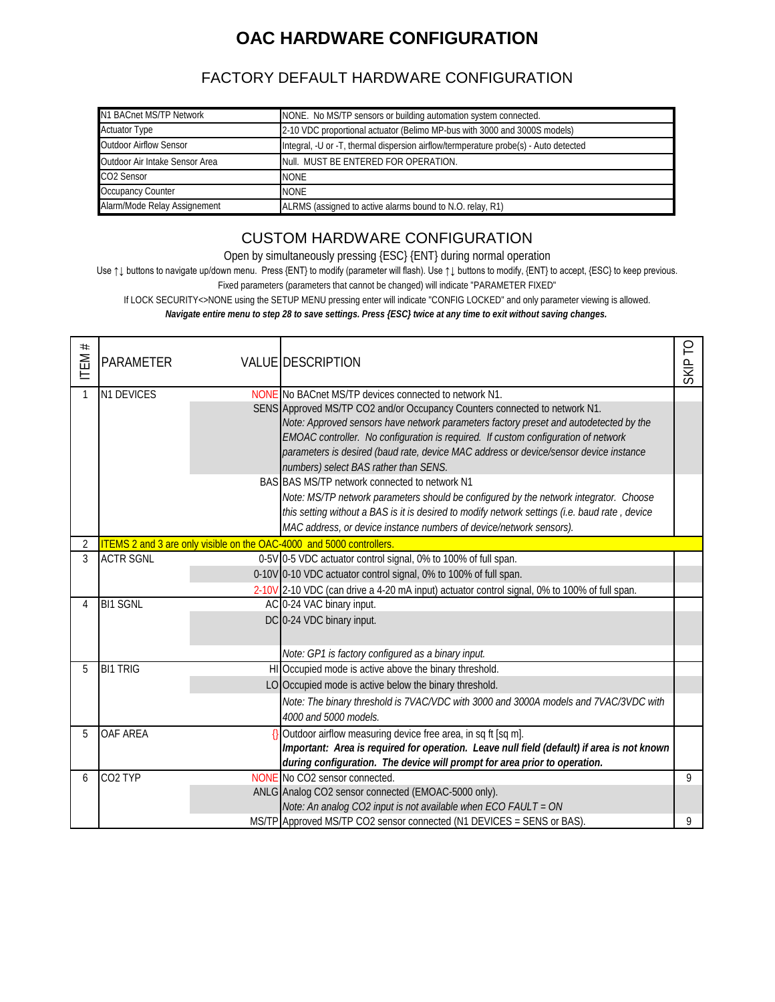## **OAC HARDWARE CONFIGURATION**

#### FACTORY DEFAULT HARDWARE CONFIGURATION

| N1 BACnet MS/TP Network        | NONE. No MS/TP sensors or building automation system connected.                      |
|--------------------------------|--------------------------------------------------------------------------------------|
| <b>Actuator Type</b>           | 2-10 VDC proportional actuator (Belimo MP-bus with 3000 and 3000S models)            |
| Outdoor Airflow Sensor         | Integral, -U or -T, thermal dispersion airflow/termperature probe(s) - Auto detected |
| Outdoor Air Intake Sensor Area | Null. MUST BE ENTERED FOR OPERATION.                                                 |
| CO2 Sensor                     | <b>NONE</b>                                                                          |
| Occupancy Counter              | <b>NONE</b>                                                                          |
| Alarm/Mode Relay Assignement   | ALRMS (assigned to active alarms bound to N.O. relay, R1)                            |

#### CUSTOM HARDWARE CONFIGURATION

Open by simultaneously pressing {ESC} {ENT} during normal operation

Use ↑↓ buttons to navigate up/down menu. Press {ENT} to modify (parameter will flash). Use ↑↓ buttons to modify, {ENT} to accept, {ESC} to keep previous.

Fixed parameters (parameters that cannot be changed) will indicate "PARAMETER FIXED"

If LOCK SECURITY<>NONE using the SETUP MENU pressing enter will indicate "CONFIG LOCKED" and only parameter viewing is allowed. *Navigate entire menu to step 28 to save settings. Press {ESC} twice at any time to exit without saving changes.*

| $^{\#}$<br>ITEM. | <b>PARAMETER</b>    | VALUE DESCRIPTION                                                                              | SKIP <sup>-</sup> |
|------------------|---------------------|------------------------------------------------------------------------------------------------|-------------------|
|                  | N1 DEVICES          | NONE No BACnet MS/TP devices connected to network N1.                                          |                   |
|                  |                     | SENS Approved MS/TP CO2 and/or Occupancy Counters connected to network N1.                     |                   |
|                  |                     | Note: Approved sensors have network parameters factory preset and autodetected by the          |                   |
|                  |                     | EMOAC controller. No configuration is required. If custom configuration of network             |                   |
|                  |                     | parameters is desired (baud rate, device MAC address or device/sensor device instance          |                   |
|                  |                     | numbers) select BAS rather than SENS.                                                          |                   |
|                  |                     | BAS BAS MS/TP network connected to network N1                                                  |                   |
|                  |                     | Note: MS/TP network parameters should be configured by the network integrator. Choose          |                   |
|                  |                     | this setting without a BAS is it is desired to modify network settings (i.e. baud rate, device |                   |
|                  |                     | MAC address, or device instance numbers of device/network sensors).                            |                   |
| 2                |                     | ITEMS 2 and 3 are only visible on the OAC-4000 and 5000 controllers.                           |                   |
| 3                | <b>ACTR SGNL</b>    | 0-5V 0-5 VDC actuator control signal, 0% to 100% of full span.                                 |                   |
|                  |                     | 0-10V 0-10 VDC actuator control signal, 0% to 100% of full span.                               |                   |
|                  |                     | 2-10V 2-10 VDC (can drive a 4-20 mA input) actuator control signal, 0% to 100% of full span.   |                   |
| 4                | <b>BI1 SGNL</b>     | AC 0-24 VAC binary input.                                                                      |                   |
|                  |                     | DC 0-24 VDC binary input.                                                                      |                   |
|                  |                     |                                                                                                |                   |
|                  |                     | Note: GP1 is factory configured as a binary input.                                             |                   |
| 5                | <b>BI1 TRIG</b>     | HI Occupied mode is active above the binary threshold.                                         |                   |
|                  |                     | LO Occupied mode is active below the binary threshold.                                         |                   |
|                  |                     | Note: The binary threshold is 7VAC/VDC with 3000 and 3000A models and 7VAC/3VDC with           |                   |
|                  |                     | 4000 and 5000 models.                                                                          |                   |
| 5                | OAF AREA            | Outdoor airflow measuring device free area, in sq ft [sq m].                                   |                   |
|                  |                     | Important: Area is required for operation. Leave null field (default) if area is not known     |                   |
|                  |                     | during configuration. The device will prompt for area prior to operation.                      |                   |
| 6                | CO <sub>2</sub> TYP | NONE No CO2 sensor connected.                                                                  | 9                 |
|                  |                     | ANLG Analog CO2 sensor connected (EMOAC-5000 only).                                            |                   |
|                  |                     | Note: An analog CO2 input is not available when ECO FAULT = ON                                 |                   |
|                  |                     | MS/TP Approved MS/TP CO2 sensor connected (N1 DEVICES = SENS or BAS)                           | 9                 |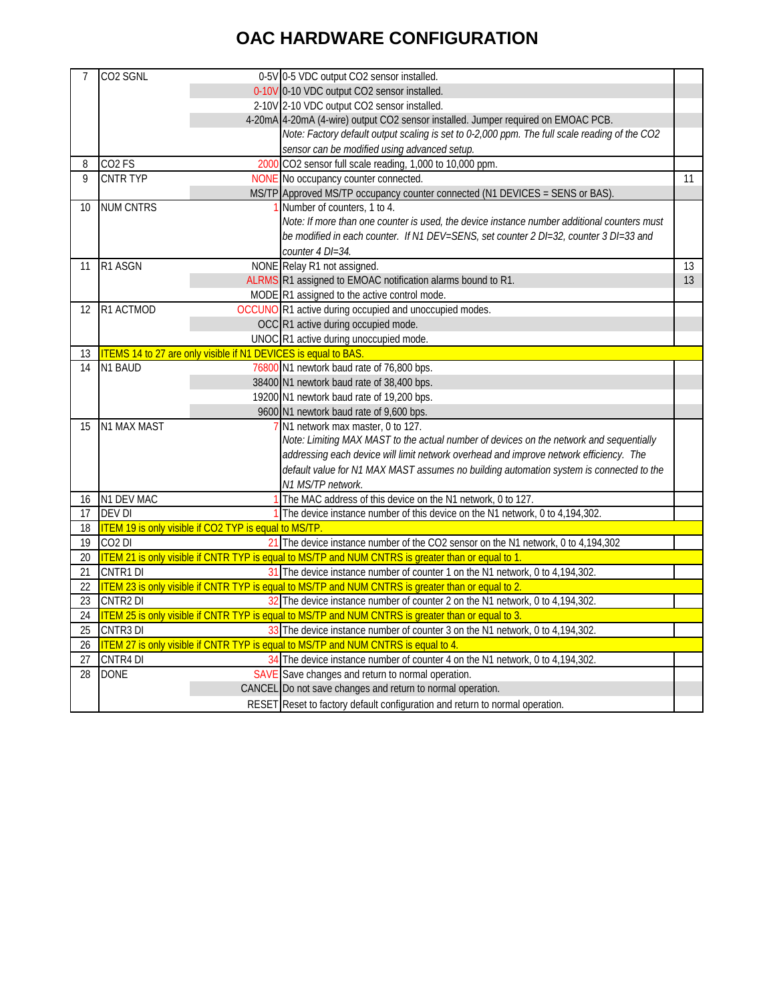# **OAC HARDWARE CONFIGURATION**

| 7               | CO <sub>2</sub> SGNL |                                                                       | 0-5V 0-5 VDC output CO2 sensor installed.                                                          |    |
|-----------------|----------------------|-----------------------------------------------------------------------|----------------------------------------------------------------------------------------------------|----|
|                 |                      |                                                                       | 0-10V 0-10 VDC output CO2 sensor installed.                                                        |    |
|                 |                      |                                                                       | 2-10V 2-10 VDC output CO2 sensor installed.                                                        |    |
|                 |                      |                                                                       | 4-20mA 4-20mA (4-wire) output CO2 sensor installed. Jumper required on EMOAC PCB.                  |    |
|                 |                      |                                                                       | Note: Factory default output scaling is set to 0-2,000 ppm. The full scale reading of the CO2      |    |
|                 |                      |                                                                       | sensor can be modified using advanced setup.                                                       |    |
| 8               | CO <sub>2</sub> FS   |                                                                       | 2000 CO2 sensor full scale reading, 1,000 to 10,000 ppm.                                           |    |
| 9               | <b>CNTR TYP</b>      |                                                                       | NONE No occupancy counter connected.                                                               | 11 |
|                 |                      |                                                                       | MS/TP Approved MS/TP occupancy counter connected (N1 DEVICES = SENS or BAS).                       |    |
| 10              | <b>NUM CNTRS</b>     |                                                                       | Number of counters, 1 to 4.                                                                        |    |
|                 |                      |                                                                       | Note: If more than one counter is used, the device instance number additional counters must        |    |
|                 |                      |                                                                       | be modified in each counter. If N1 DEV=SENS, set counter 2 DI=32, counter 3 DI=33 and              |    |
|                 |                      |                                                                       | counter 4 DI=34.                                                                                   |    |
| 11              | R1 ASGN              |                                                                       | NONE Relay R1 not assigned.                                                                        | 13 |
|                 |                      |                                                                       | ALRMS R1 assigned to EMOAC notification alarms bound to R1.                                        | 13 |
|                 |                      |                                                                       | MODE R1 assigned to the active control mode.                                                       |    |
| 12              | R1 ACTMOD            |                                                                       | OCCUNO R1 active during occupied and unoccupied modes.                                             |    |
|                 |                      |                                                                       | OCC R1 active during occupied mode.                                                                |    |
|                 |                      |                                                                       | UNOC R1 active during unoccupied mode.                                                             |    |
| 13              |                      | <b>ITEMS 14 to 27 are only visible if N1 DEVICES</b> is equal to BAS. |                                                                                                    |    |
| 14              | N1 BAUD              |                                                                       | 76800 N1 newtork baud rate of 76,800 bps.                                                          |    |
|                 |                      |                                                                       | 38400 N1 newtork baud rate of 38,400 bps.                                                          |    |
|                 |                      |                                                                       | 19200 N1 newtork baud rate of 19,200 bps.                                                          |    |
|                 |                      |                                                                       | 9600 N1 newtork baud rate of 9,600 bps.                                                            |    |
| 15              | N1 MAX MAST          |                                                                       | N1 network max master, 0 to 127.                                                                   |    |
|                 |                      |                                                                       | Note: Limiting MAX MAST to the actual number of devices on the network and sequentially            |    |
|                 |                      |                                                                       | addressing each device will limit network overhead and improve network efficiency. The             |    |
|                 |                      |                                                                       | default value for N1 MAX MAST assumes no building automation system is connected to the            |    |
|                 |                      |                                                                       | N1 MS/TP network.                                                                                  |    |
| 16              | N1 DEV MAC           |                                                                       | The MAC address of this device on the N1 network, 0 to 127.                                        |    |
| 17              | <b>DEV DI</b>        |                                                                       | The device instance number of this device on the N1 network, 0 to 4,194,302.                       |    |
| 18              |                      | <b>ITEM 19 is only visible if CO2 TYP is equal to MS/TP.</b>          |                                                                                                    |    |
| 19              | CO <sub>2</sub> DI   |                                                                       | 21 The device instance number of the CO2 sensor on the N1 network, 0 to 4,194,302                  |    |
| 20              |                      |                                                                       | ITEM 21 is only visible if CNTR TYP is equal to MS/TP and NUM CNTRS is greater than or equal to 1. |    |
| 21              | CNTR1 DI             |                                                                       | 31 The device instance number of counter 1 on the N1 network, 0 to 4,194,302.                      |    |
| 22              |                      |                                                                       | ITEM 23 is only visible if CNTR TYP is equal to MS/TP and NUM CNTRS is greater than or equal to 2. |    |
| 23              | CNTR <sub>2</sub> DI |                                                                       | 32 The device instance number of counter 2 on the N1 network, 0 to 4,194,302                       |    |
| 24              |                      |                                                                       | ITEM 25 is only visible if CNTR TYP is equal to MS/TP and NUM CNTRS is greater than or equal to 3. |    |
| 25              | CNTR3 DI             |                                                                       | 33 The device instance number of counter 3 on the N1 network, 0 to 4,194,302.                      |    |
| 26              |                      |                                                                       | ITEM 27 is only visible if CNTR TYP is equal to MS/TP and NUM CNTRS is equal to 4.                 |    |
| 27              | <b>CNTR4 DI</b>      |                                                                       | 34 The device instance number of counter 4 on the N1 network, 0 to 4,194,302                       |    |
| $\overline{28}$ | <b>DONE</b>          |                                                                       | SAVE Save changes and return to normal operation.                                                  |    |
|                 |                      |                                                                       | CANCEL Do not save changes and return to normal operation.                                         |    |
|                 |                      |                                                                       | RESET Reset to factory default configuration and return to normal operation.                       |    |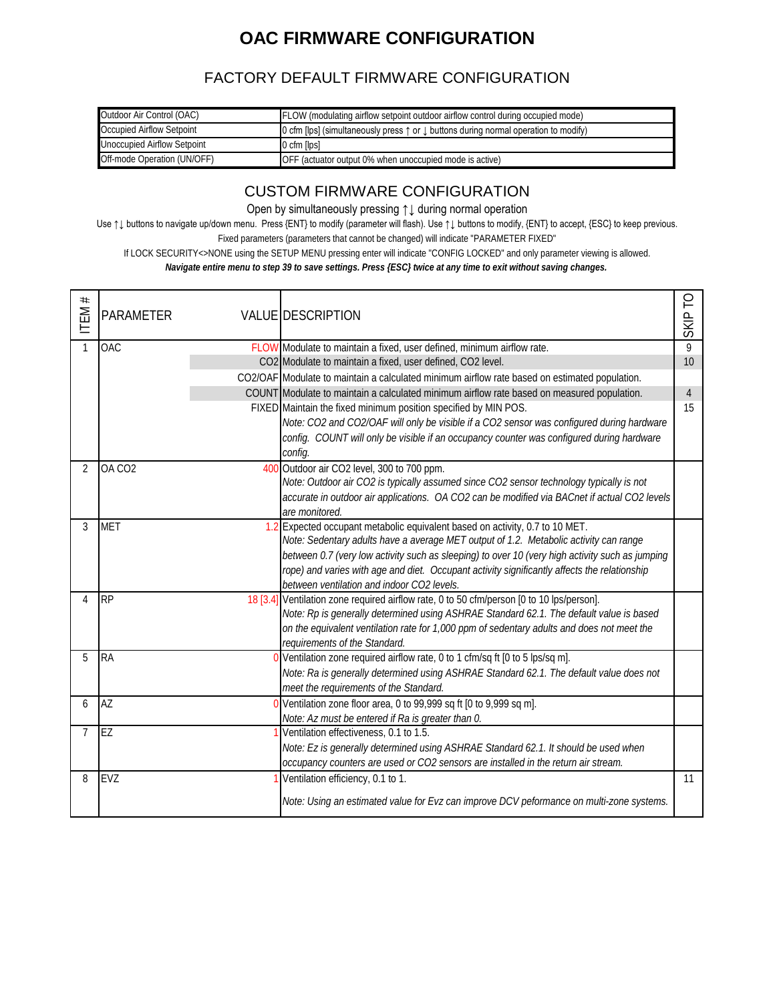## **OAC FIRMWARE CONFIGURATION**

#### FACTORY DEFAULT FIRMWARE CONFIGURATION

| Outdoor Air Control (OAC)   | <b>FLOW</b> (modulating airflow setpoint outdoor airflow control during occupied mode)                  |
|-----------------------------|---------------------------------------------------------------------------------------------------------|
| Occupied Airflow Setpoint   | 0 cfm [lps] (simultaneously press $\uparrow$ or $\downarrow$ buttons during normal operation to modify) |
| Unoccupied Airflow Setpoint | $0 \text{ cfm}$ [lps]                                                                                   |
| Off-mode Operation (UN/OFF) | OFF (actuator output 0% when unoccupied mode is active)                                                 |

#### CUSTOM FIRMWARE CONFIGURATION

Open by simultaneously pressing ↑↓ during normal operation

Use ↑↓ buttons to navigate up/down menu. Press {ENT} to modify (parameter will flash). Use ↑↓ buttons to modify, {ENT} to accept, {ESC} to keep previous.

Fixed parameters (parameters that cannot be changed) will indicate "PARAMETER FIXED"

If LOCK SECURITY<>NONE using the SETUP MENU pressing enter will indicate "CONFIG LOCKED" and only parameter viewing is allowed.

*Navigate entire menu to step 39 to save settings. Press {ESC} twice at any time to exit without saving changes.*

| $^{\rm \#}$<br>ITEM | <b>PARAMETER</b>   | VALUE DESCRIPTION                                                                                                                                                     | ဥ<br>SKIP      |
|---------------------|--------------------|-----------------------------------------------------------------------------------------------------------------------------------------------------------------------|----------------|
| $\mathbf{1}$        | <b>OAC</b>         | FLOW Modulate to maintain a fixed, user defined, minimum airflow rate.                                                                                                | 9              |
|                     |                    | CO2 Modulate to maintain a fixed, user defined, CO2 level.                                                                                                            | 10             |
|                     |                    | CO2/OAF Modulate to maintain a calculated minimum airflow rate based on estimated population.                                                                         |                |
|                     |                    | COUNT Modulate to maintain a calculated minimum airflow rate based on measured population.                                                                            | $\overline{4}$ |
|                     |                    | FIXED Maintain the fixed minimum position specified by MIN POS.                                                                                                       | 15             |
|                     |                    | Note: CO2 and CO2/OAF will only be visible if a CO2 sensor was configured during hardware                                                                             |                |
|                     |                    | config. COUNT will only be visible if an occupancy counter was configured during hardware                                                                             |                |
|                     |                    | config.                                                                                                                                                               |                |
| 2                   | OA CO <sub>2</sub> | 400 Outdoor air CO2 level, 300 to 700 ppm.                                                                                                                            |                |
|                     |                    | Note: Outdoor air CO2 is typically assumed since CO2 sensor technology typically is not                                                                               |                |
|                     |                    | accurate in outdoor air applications. OA CO2 can be modified via BACnet if actual CO2 levels                                                                          |                |
|                     |                    | are monitored.                                                                                                                                                        |                |
| 3                   | <b>MET</b>         | 1.2 Expected occupant metabolic equivalent based on activity, 0.7 to 10 MET.<br>Note: Sedentary adults have a average MET output of 1.2. Metabolic activity can range |                |
|                     |                    | between 0.7 (very low activity such as sleeping) to over 10 (very high activity such as jumping                                                                       |                |
|                     |                    | rope) and varies with age and diet. Occupant activity significantly affects the relationship                                                                          |                |
|                     |                    | between ventilation and indoor CO2 levels.                                                                                                                            |                |
| 4                   | <b>RP</b>          | 18 [3.4] Ventilation zone required airflow rate, 0 to 50 cfm/person [0 to 10 lps/person].                                                                             |                |
|                     |                    | Note: Rp is generally determined using ASHRAE Standard 62.1. The default value is based                                                                               |                |
|                     |                    | on the equivalent ventilation rate for 1,000 ppm of sedentary adults and does not meet the                                                                            |                |
|                     |                    | requirements of the Standard.                                                                                                                                         |                |
| 5                   | <b>RA</b>          | 0 Ventilation zone required airflow rate, 0 to 1 cfm/sq ft [0 to 5 lps/sq m].                                                                                         |                |
|                     |                    | Note: Ra is generally determined using ASHRAE Standard 62.1. The default value does not                                                                               |                |
|                     |                    | meet the requirements of the Standard.                                                                                                                                |                |
| 6                   | AZ                 | 0 Ventilation zone floor area, 0 to 99,999 sq ft [0 to 9,999 sq m].                                                                                                   |                |
|                     |                    | Note: Az must be entered if Ra is greater than 0.                                                                                                                     |                |
| 7                   | EZ                 | Ventilation effectiveness, 0.1 to 1.5.                                                                                                                                |                |
|                     |                    | Note: Ez is generally determined using ASHRAE Standard 62.1. It should be used when                                                                                   |                |
|                     |                    | occupancy counters are used or CO2 sensors are installed in the return air stream.                                                                                    |                |
| 8                   | <b>EVZ</b>         | Ventilation efficiency, 0.1 to 1.                                                                                                                                     | 11             |
|                     |                    | Note: Using an estimated value for Evz can improve DCV peformance on multi-zone systems.                                                                              |                |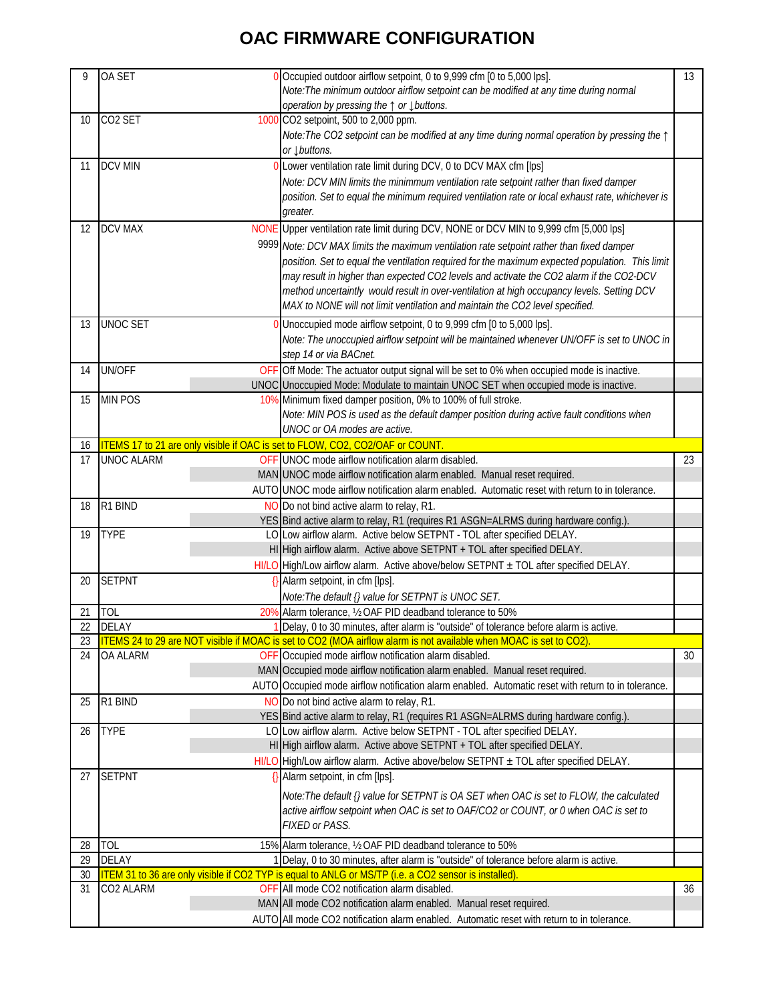## **OAC FIRMWARE CONFIGURATION**

| 9  | OA SET              | 0 Occupied outdoor airflow setpoint, 0 to 9,999 cfm [0 to 5,000 lps].                                              | 13 |
|----|---------------------|--------------------------------------------------------------------------------------------------------------------|----|
|    |                     |                                                                                                                    |    |
|    |                     | Note: The minimum outdoor airflow setpoint can be modified at any time during normal                               |    |
|    |                     | operation by pressing the ↑ or ↓ buttons.                                                                          |    |
| 10 | CO <sub>2</sub> SET | 1000 CO2 setpoint, 500 to 2,000 ppm.                                                                               |    |
|    |                     | Note: The CO2 setpoint can be modified at any time during normal operation by pressing the $\uparrow$              |    |
|    |                     | or $\downarrow$ buttons.                                                                                           |    |
| 11 | <b>DCV MIN</b>      | 0 Lower ventilation rate limit during DCV, 0 to DCV MAX cfm [lps]                                                  |    |
|    |                     | Note: DCV MIN limits the minimmum ventilation rate setpoint rather than fixed damper                               |    |
|    |                     | position. Set to equal the minimum required ventilation rate or local exhaust rate, whichever is                   |    |
|    |                     |                                                                                                                    |    |
|    |                     | greater.                                                                                                           |    |
| 12 | <b>DCV MAX</b>      | NONE Upper ventilation rate limit during DCV, NONE or DCV MIN to 9,999 cfm [5,000 lps]                             |    |
|    |                     | 9999 Note: DCV MAX limits the maximum ventilation rate setpoint rather than fixed damper                           |    |
|    |                     | position. Set to equal the ventilation required for the maximum expected population. This limit                    |    |
|    |                     | may result in higher than expected CO2 levels and activate the CO2 alarm if the CO2-DCV                            |    |
|    |                     | method uncertaintly would result in over-ventilation at high occupancy levels. Setting DCV                         |    |
|    |                     |                                                                                                                    |    |
|    |                     | MAX to NONE will not limit ventilation and maintain the CO2 level specified.                                       |    |
| 13 | <b>UNOC SET</b>     | 0 Unoccupied mode airflow setpoint, 0 to 9,999 cfm [0 to 5,000 lps].                                               |    |
|    |                     | Note: The unoccupied airflow setpoint will be maintained whenever UN/OFF is set to UNOC in                         |    |
|    |                     | step 14 or via BACnet.                                                                                             |    |
| 14 | <b>UN/OFF</b>       | OFF Off Mode: The actuator output signal will be set to 0% when occupied mode is inactive.                         |    |
|    |                     | UNOC Unoccupied Mode: Modulate to maintain UNOC SET when occupied mode is inactive.                                |    |
| 15 | <b>MIN POS</b>      | 10% Minimum fixed damper position, 0% to 100% of full stroke.                                                      |    |
|    |                     |                                                                                                                    |    |
|    |                     | Note: MIN POS is used as the default damper position during active fault conditions when                           |    |
|    |                     | UNOC or OA modes are active.                                                                                       |    |
| 16 |                     | ITEMS 17 to 21 are only visible if OAC is set to FLOW, CO2, CO2/OAF or COUNT                                       |    |
| 17 | <b>UNOC ALARM</b>   | OFF UNOC mode airflow notification alarm disabled.                                                                 | 23 |
|    |                     | MAN UNOC mode airflow notification alarm enabled. Manual reset required.                                           |    |
|    |                     | AUTO UNOC mode airflow notification alarm enabled. Automatic reset with return to in tolerance.                    |    |
| 18 | R1 BIND             | NO Do not bind active alarm to relay, R1.                                                                          |    |
|    |                     | YES Bind active alarm to relay, R1 (requires R1 ASGN=ALRMS during hardware config.)                                |    |
| 19 | <b>TYPE</b>         | LO Low airflow alarm. Active below SETPNT - TOL after specified DELAY.                                             |    |
|    |                     | HI High airflow alarm. Active above SETPNT + TOL after specified DELAY.                                            |    |
|    |                     | HI/LO High/Low airflow alarm. Active above/below SETPNT ± TOL after specified DELAY.                               |    |
| 20 | <b>SETPNT</b>       | {} Alarm setpoint, in cfm [lps].                                                                                   |    |
|    |                     |                                                                                                                    |    |
|    |                     | Note: The default {} value for SETPNT is UNOC SET.                                                                 |    |
| 21 | TOL                 | 20% Alarm tolerance, 1/2 OAF PID deadband tolerance to 50%                                                         |    |
| 22 | <b>DELAY</b>        | 1 Delay, 0 to 30 minutes, after alarm is "outside" of tolerance before alarm is active.                            |    |
| 23 |                     | ITEMS 24 to 29 are NOT visible if MOAC is set to CO2 (MOA airflow alarm is not available when MOAC is set to CO2). |    |
| 24 | <b>OA ALARM</b>     | OFF Occupied mode airflow notification alarm disabled.                                                             | 30 |
|    |                     | MAN Occupied mode airflow notification alarm enabled. Manual reset required.                                       |    |
|    |                     | AUTO Occupied mode airflow notification alarm enabled. Automatic reset with return to in tolerance.                |    |
| 25 | R1 BIND             | NO Do not bind active alarm to relay, R1.                                                                          |    |
|    |                     | YES Bind active alarm to relay, R1 (requires R1 ASGN=ALRMS during hardware config.).                               |    |
| 26 | <b>TYPE</b>         | LO Low airflow alarm. Active below SETPNT - TOL after specified DELAY.                                             |    |
|    |                     | HI High airflow alarm. Active above SETPNT + TOL after specified DELAY.                                            |    |
|    |                     | $H1/LO$ High/Low airflow alarm. Active above/below SETPNT $\pm$ TOL after specified DELAY.                         |    |
|    |                     | {} Alarm setpoint, in cfm [lps].                                                                                   |    |
| 27 | <b>SETPNT</b>       |                                                                                                                    |    |
|    |                     | Note: The default {} value for SETPNT is OA SET when OAC is set to FLOW, the calculated                            |    |
|    |                     | active airflow setpoint when OAC is set to OAF/CO2 or COUNT, or 0 when OAC is set to                               |    |
|    |                     | FIXED or PASS.                                                                                                     |    |
| 28 | <b>TOL</b>          | 15% Alarm tolerance, 1/2 OAF PID deadband tolerance to 50%                                                         |    |
|    |                     |                                                                                                                    |    |
| 29 | <b>DELAY</b>        | 1 Delay, 0 to 30 minutes, after alarm is "outside" of tolerance before alarm is active.                            |    |
| 30 |                     | ITEM 31 to 36 are only visible if CO2 TYP is equal to ANLG or MS/TP (i.e. a CO2 sensor is installed)               |    |
| 31 | CO2 ALARM           | OFF All mode CO2 notification alarm disabled.                                                                      | 36 |
|    |                     | MAN All mode CO2 notification alarm enabled. Manual reset required.                                                |    |
|    |                     | AUTO All mode CO2 notification alarm enabled. Automatic reset with return to in tolerance.                         |    |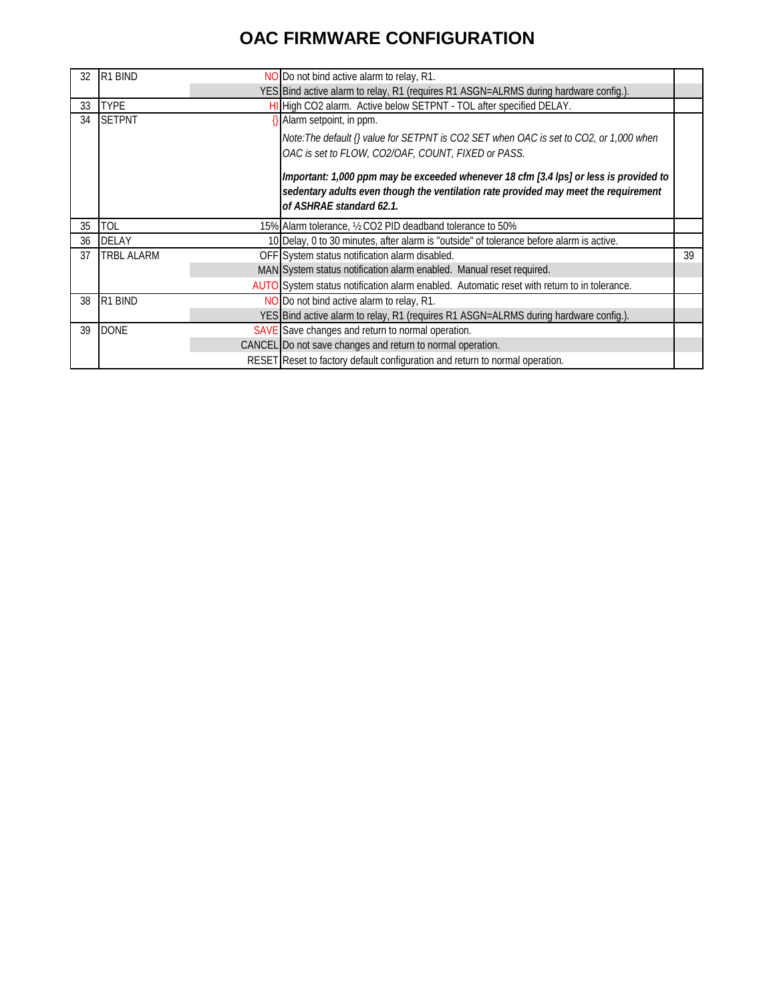## **OAC FIRMWARE CONFIGURATION**

| 32 | R <sub>1</sub> BIND | NO Do not bind active alarm to relay, R1.                                                                                                                                                                |    |
|----|---------------------|----------------------------------------------------------------------------------------------------------------------------------------------------------------------------------------------------------|----|
|    |                     | YES Bind active alarm to relay, R1 (requires R1 ASGN=ALRMS during hardware config.).                                                                                                                     |    |
| 33 | <b>TYPE</b>         | HI High CO2 alarm. Active below SETPNT - TOL after specified DELAY.                                                                                                                                      |    |
| 34 | <b>SETPNT</b>       | $\{\}$ Alarm setpoint, in ppm.                                                                                                                                                                           |    |
|    |                     | Note:The default {} value for SETPNT is CO2 SET when OAC is set to CO2, or 1,000 when<br>OAC is set to FLOW, CO2/OAF, COUNT, FIXED or PASS.                                                              |    |
|    |                     | Important: 1,000 ppm may be exceeded whenever 18 cfm [3.4 lps] or less is provided to<br>sedentary adults even though the ventilation rate provided may meet the requirement<br>of ASHRAE standard 62.1. |    |
| 35 | TOL                 | 15% Alarm tolerance, 1/2 CO2 PID deadband tolerance to 50%                                                                                                                                               |    |
| 36 | <b>DELAY</b>        | 10 Delay, 0 to 30 minutes, after alarm is "outside" of tolerance before alarm is active.                                                                                                                 |    |
| 37 | <b>TRBL ALARM</b>   | OFF System status notification alarm disabled.                                                                                                                                                           | 39 |
|    |                     | MAN System status notification alarm enabled. Manual reset required.                                                                                                                                     |    |
|    |                     | AUTO System status notification alarm enabled. Automatic reset with return to in tolerance.                                                                                                              |    |
| 38 | R <sub>1</sub> BIND | NO Do not bind active alarm to relay, R1.                                                                                                                                                                |    |
|    |                     | YES Bind active alarm to relay, R1 (requires R1 ASGN=ALRMS during hardware config.).                                                                                                                     |    |
| 39 | <b>DONE</b>         | SAVE Save changes and return to normal operation.                                                                                                                                                        |    |
|    |                     | CANCEL Do not save changes and return to normal operation.                                                                                                                                               |    |
|    |                     | RESET Reset to factory default configuration and return to normal operation.                                                                                                                             |    |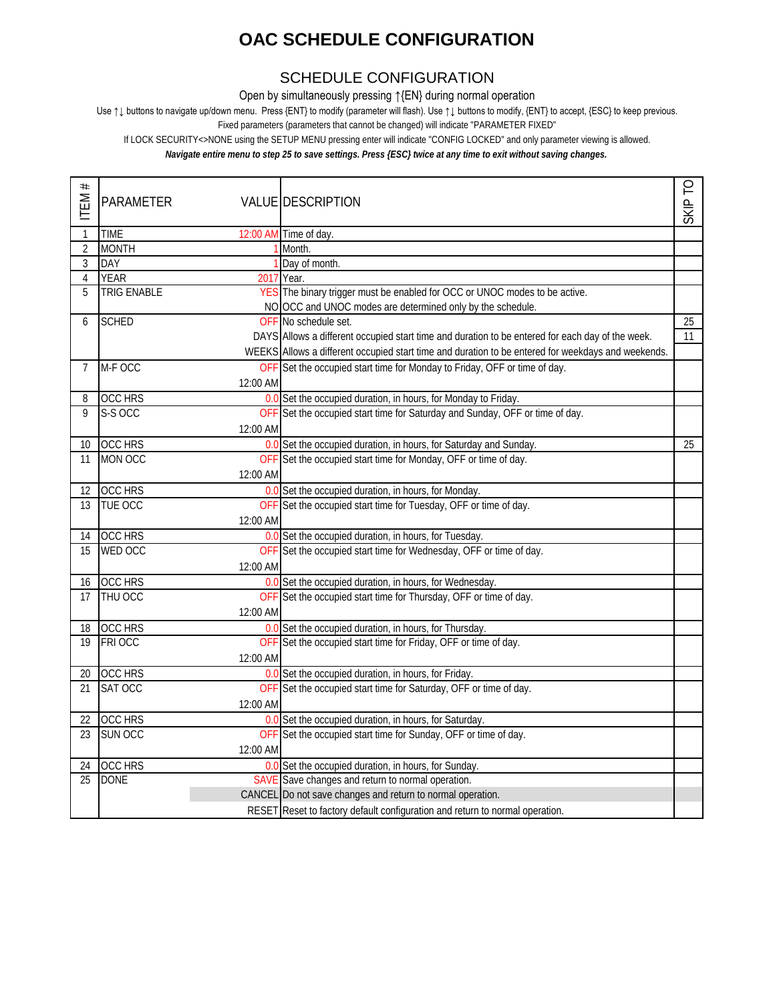## **OAC SCHEDULE CONFIGURATION**

#### SCHEDULE CONFIGURATION

Open by simultaneously pressing ↑{EN} during normal operation

Use ↑↓ buttons to navigate up/down menu. Press {ENT} to modify (parameter will flash). Use ↑↓ buttons to modify, {ENT} to accept, {ESC} to keep previous.

Fixed parameters (parameters that cannot be changed) will indicate "PARAMETER FIXED"

If LOCK SECURITY<>NONE using the SETUP MENU pressing enter will indicate "CONFIG LOCKED" and only parameter viewing is allowed.

*Navigate entire menu to step 25 to save settings. Press {ESC} twice at any time to exit without saving changes.*

| $^{\rm \#}$<br>ITEM- | <b>PARAMETER</b>   |          | <b>VALUE DESCRIPTION</b>                                                                           | SKIP <sub>TO</sub> |
|----------------------|--------------------|----------|----------------------------------------------------------------------------------------------------|--------------------|
| $\mathbf{1}$         | <b>TIME</b>        |          | 12:00 AM Time of day.                                                                              |                    |
| $\overline{2}$       | <b>MONTH</b>       |          | Month.                                                                                             |                    |
| $\mathfrak{Z}$       | DAY                |          | Day of month.                                                                                      |                    |
| $\overline{4}$       | <b>YEAR</b>        |          | 2017 Year.                                                                                         |                    |
| 5                    | <b>TRIG ENABLE</b> |          | YES The binary trigger must be enabled for OCC or UNOC modes to be active.                         |                    |
|                      |                    |          | NO OCC and UNOC modes are determined only by the schedule.                                         |                    |
| 6                    | <b>SCHED</b>       |          | OFF No schedule set.                                                                               | $\overline{25}$    |
|                      |                    |          | DAYS Allows a different occupied start time and duration to be entered for each day of the week.   | 11                 |
|                      |                    |          | WEEKS Allows a different occupied start time and duration to be entered for weekdays and weekends. |                    |
| $\overline{7}$       | M-F OCC            |          | OFF Set the occupied start time for Monday to Friday, OFF or time of day.                          |                    |
|                      |                    | 12:00 AM |                                                                                                    |                    |
| 8                    | <b>OCC HRS</b>     |          | 0.0 Set the occupied duration, in hours, for Monday to Friday.                                     |                    |
| 9                    | S-S OCC            |          | OFF Set the occupied start time for Saturday and Sunday, OFF or time of day.                       |                    |
|                      |                    | 12:00 AM |                                                                                                    |                    |
| 10                   | OCC HRS            |          | 0.0 Set the occupied duration, in hours, for Saturday and Sunday.                                  | 25                 |
| 11                   | MON OCC            |          | OFF Set the occupied start time for Monday, OFF or time of day.                                    |                    |
|                      |                    | 12:00 AM |                                                                                                    |                    |
| 12                   | <b>OCC HRS</b>     |          | 0.0 Set the occupied duration, in hours, for Monday.                                               |                    |
| 13                   | TUE OCC            |          | OFF Set the occupied start time for Tuesday, OFF or time of day.                                   |                    |
|                      |                    | 12:00 AM |                                                                                                    |                    |
| 14                   | <b>OCC HRS</b>     |          | 0.0 Set the occupied duration, in hours, for Tuesday.                                              |                    |
| 15                   | WED OCC            |          | OFF Set the occupied start time for Wednesday, OFF or time of day.                                 |                    |
|                      |                    | 12:00 AM |                                                                                                    |                    |
| 16                   | OCC HRS            |          | 0.0 Set the occupied duration, in hours, for Wednesday.                                            |                    |
| 17                   | THU OCC            |          | OFF Set the occupied start time for Thursday, OFF or time of day.                                  |                    |
|                      |                    | 12:00 AM |                                                                                                    |                    |
| 18                   | OCC HRS            |          | 0.0 Set the occupied duration, in hours, for Thursday.                                             |                    |
| 19                   | FRI OCC            |          | OFF Set the occupied start time for Friday, OFF or time of day.                                    |                    |
|                      |                    | 12:00 AM |                                                                                                    |                    |
| 20                   | <b>OCC HRS</b>     |          | 0.0 Set the occupied duration, in hours, for Friday.                                               |                    |
| 21                   | SAT OCC            |          | OFF Set the occupied start time for Saturday, OFF or time of day.                                  |                    |
|                      |                    | 12:00 AM |                                                                                                    |                    |
| 22                   | <b>OCC HRS</b>     |          | 0.0 Set the occupied duration, in hours, for Saturday.                                             |                    |
| 23                   | SUN OCC            |          | OFF Set the occupied start time for Sunday, OFF or time of day.                                    |                    |
|                      |                    | 12:00 AM |                                                                                                    |                    |
| 24                   | <b>OCC HRS</b>     |          | 0.0 Set the occupied duration, in hours, for Sunday                                                |                    |
| 25                   | <b>DONE</b>        |          | SAVE Save changes and return to normal operation.                                                  |                    |
|                      |                    |          | CANCEL Do not save changes and return to normal operation.                                         |                    |
|                      |                    |          | RESET Reset to factory default configuration and return to normal operation.                       |                    |
|                      |                    |          |                                                                                                    |                    |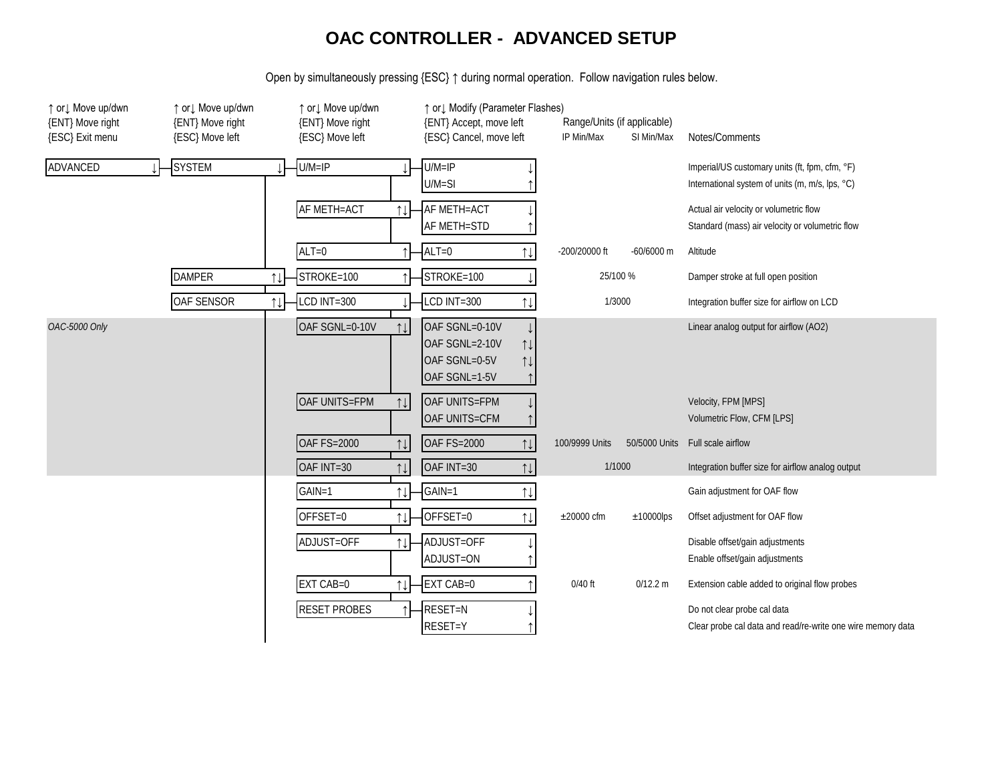#### **OAC CONTROLLER - ADVANCED SETUP**

Open by simultaneously pressing {ESC} ↑ during normal operation. Follow navigation rules below.

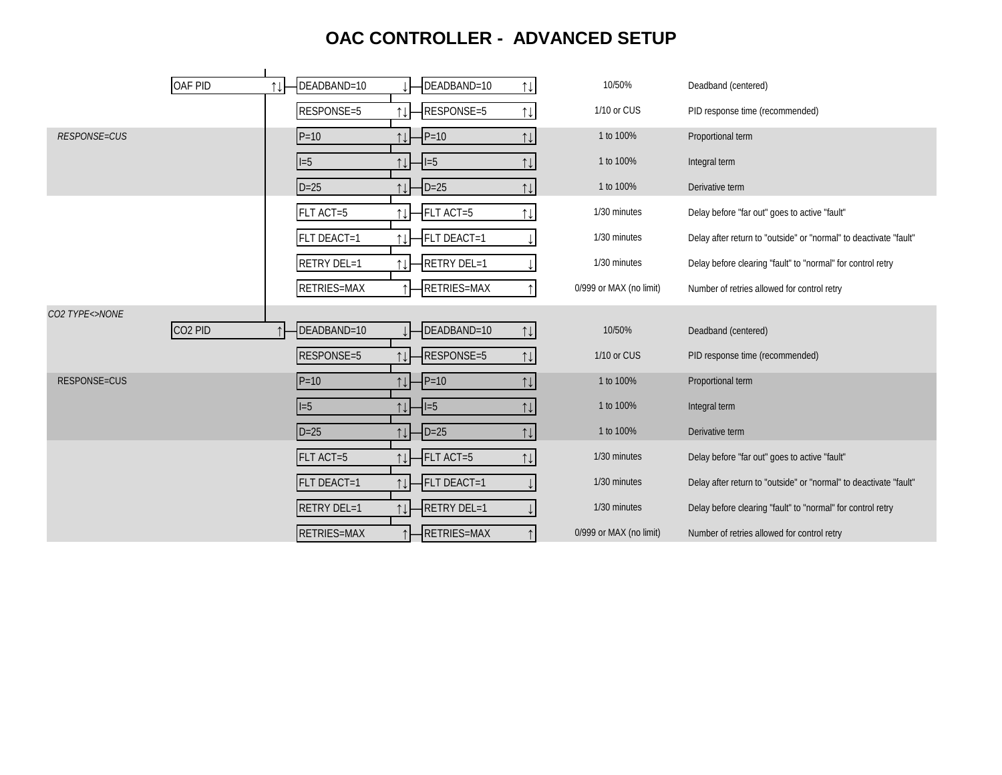# **OAC CONTROLLER - ADVANCED SETUP**

|                     | OAF PID             | $\uparrow \downarrow$ | DEADBAND=10 |                                | DEADBAND=10   | $\uparrow\downarrow$  | 10/50%                  | Deadband (centered)                                               |
|---------------------|---------------------|-----------------------|-------------|--------------------------------|---------------|-----------------------|-------------------------|-------------------------------------------------------------------|
|                     |                     |                       | RESPONSE=5  |                                | RESPONSE=5    | $\uparrow\downarrow$  | 1/10 or CUS             | PID response time (recommended)                                   |
| <b>RESPONSE=CUS</b> |                     |                       | $P = 10$    | ⇅                              | $P=10$        | 11                    | 1 to 100%               | Proportional term                                                 |
|                     |                     |                       | $I=5$       |                                | $1 = 5$       | $\uparrow \downarrow$ | 1 to 100%               | Integral term                                                     |
|                     |                     |                       | $D=25$      |                                | $-D=25$       | $\uparrow\downarrow$  | 1 to 100%               | Derivative term                                                   |
|                     |                     |                       | FLT ACT=5   |                                | FLT ACT=5     | $\uparrow$            | 1/30 minutes            | Delay before "far out" goes to active "fault"                     |
|                     |                     |                       | FLT DEACT=1 |                                | FLT DEACT=1   |                       | 1/30 minutes            | Delay after return to "outside" or "normal" to deactivate "fault" |
|                     |                     |                       | RETRY DEL=1 |                                | RETRY DEL=1   |                       | 1/30 minutes            | Delay before clearing "fault" to "normal" for control retry       |
|                     |                     |                       | RETRIES=MAX |                                | RETRIES=MAX   |                       | 0/999 or MAX (no limit) | Number of retries allowed for control retry                       |
|                     |                     |                       |             |                                |               |                       |                         |                                                                   |
| CO2 TYPE<>NONE      |                     |                       |             |                                |               |                       |                         |                                                                   |
|                     | CO <sub>2</sub> PID |                       | DEADBAND=10 |                                | DEADBAND=10   | $\uparrow\downarrow$  | 10/50%                  | Deadband (centered)                                               |
|                     |                     |                       | RESPONSE=5  | ⇅                              | RESPONSE=5    | $\uparrow\downarrow$  | 1/10 or CUS             | PID response time (recommended)                                   |
| <b>RESPONSE=CUS</b> |                     |                       | $P=10$      | 11                             | $P = 10$      | $\uparrow \downarrow$ | 1 to 100%               | Proportional term                                                 |
|                     |                     |                       | $I=5$       | ↑↓┣                            | $-I = 5$      | $\uparrow\downarrow$  | 1 to 100%               | Integral term                                                     |
|                     |                     |                       | $D=25$      | 11                             | $\vert$ D=25  | $\uparrow \downarrow$ | 1 to 100%               | Derivative term                                                   |
|                     |                     |                       | FLT ACT=5   |                                | $-$ FLT ACT=5 | $\uparrow\downarrow$  | 1/30 minutes            | Delay before "far out" goes to active "fault"                     |
|                     |                     |                       | FLT DEACT=1 | $\uparrow\downarrow$           | FLT DEACT=1   |                       | 1/30 minutes            | Delay after return to "outside" or "normal" to deactivate "fault" |
|                     |                     |                       | RETRY DEL=1 | $\uparrow \downarrow \uparrow$ | -RETRY DEL=1  |                       | 1/30 minutes            | Delay before clearing "fault" to "normal" for control retry       |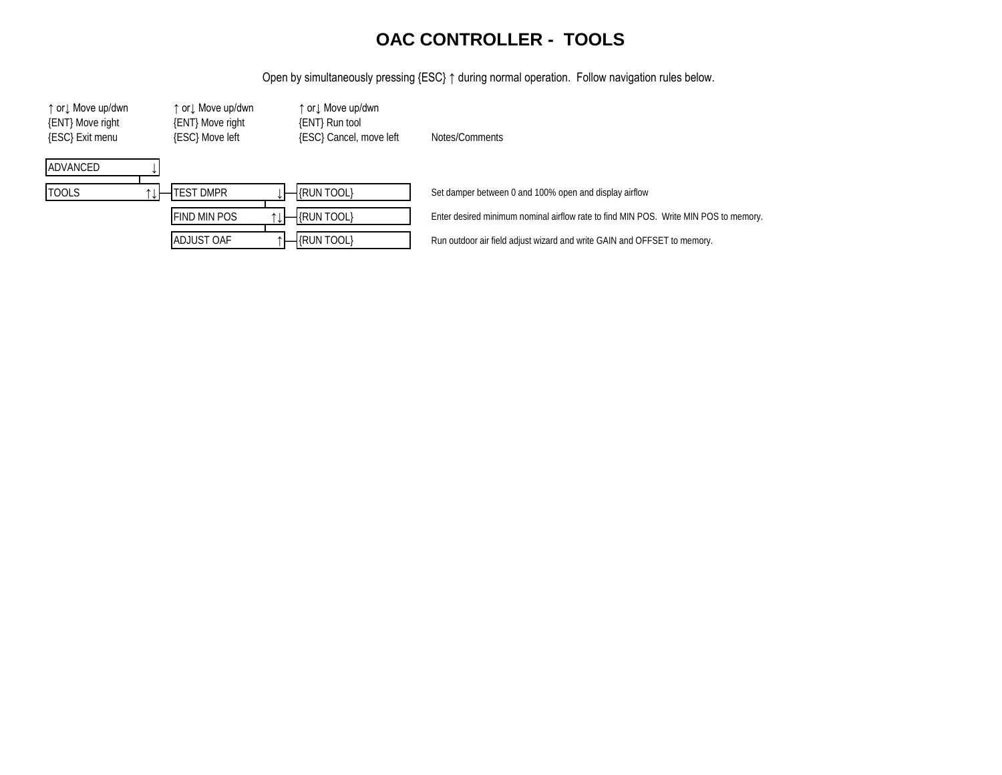#### **OAC CONTROLLER - TOOLS**

Open by simultaneously pressing {ESC} ↑ during normal operation. Follow navigation rules below.

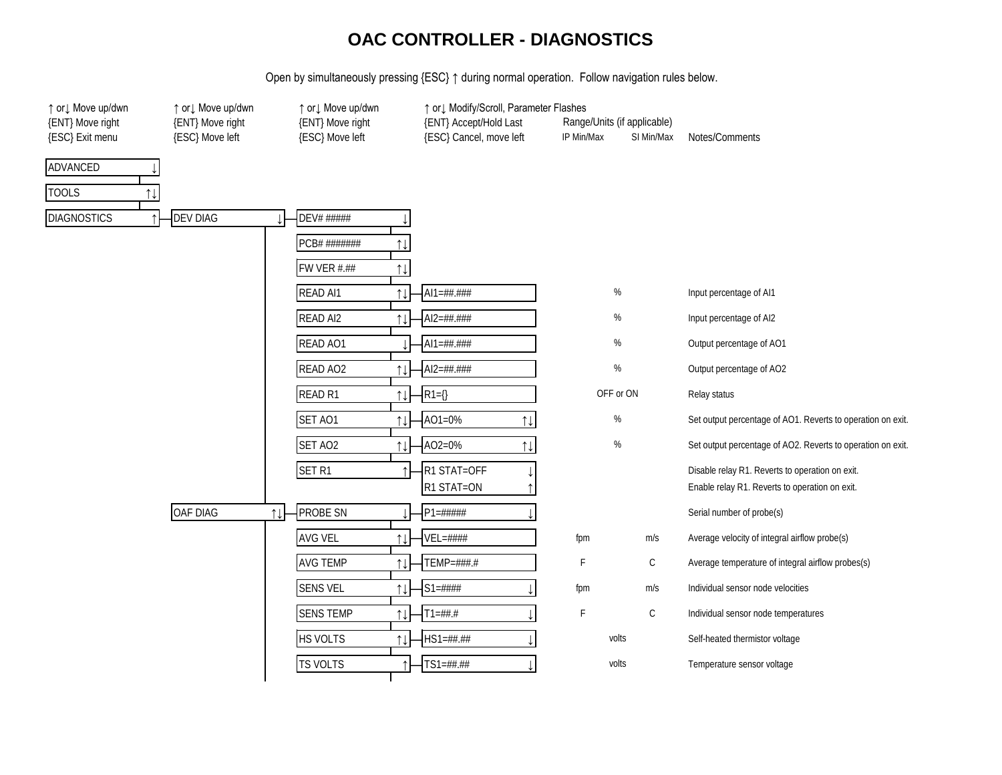#### **OAC CONTROLLER - DIAGNOSTICS**

Open by simultaneously pressing {ESC} ↑ during normal operation. Follow navigation rules below.

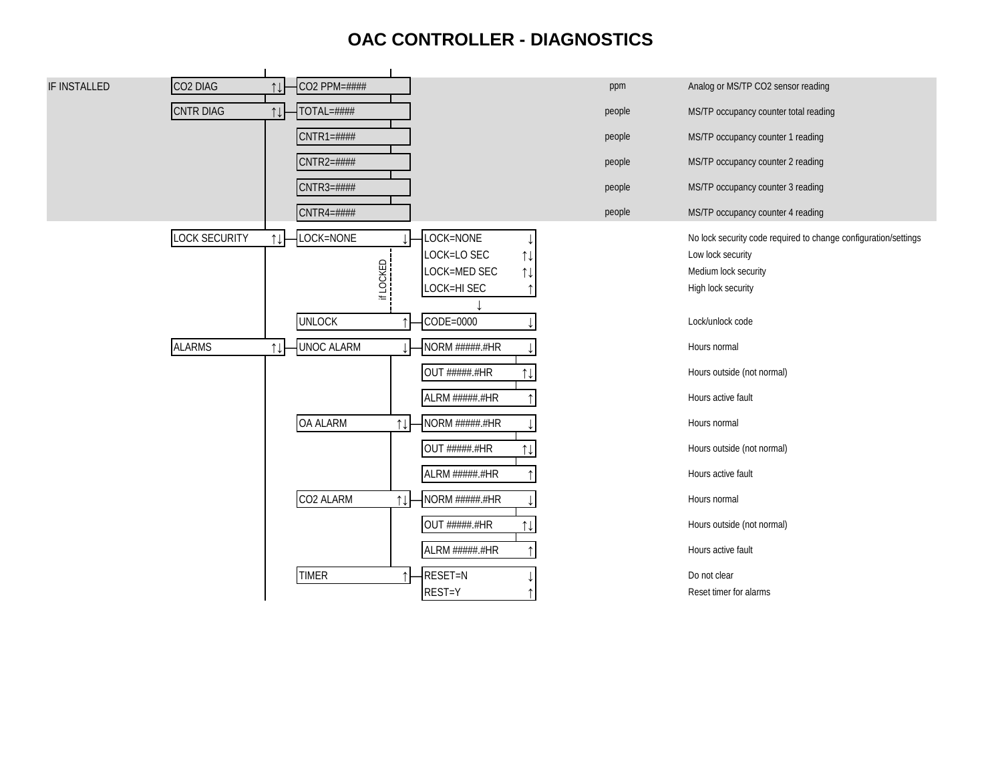### **OAC CONTROLLER - DIAGNOSTICS**

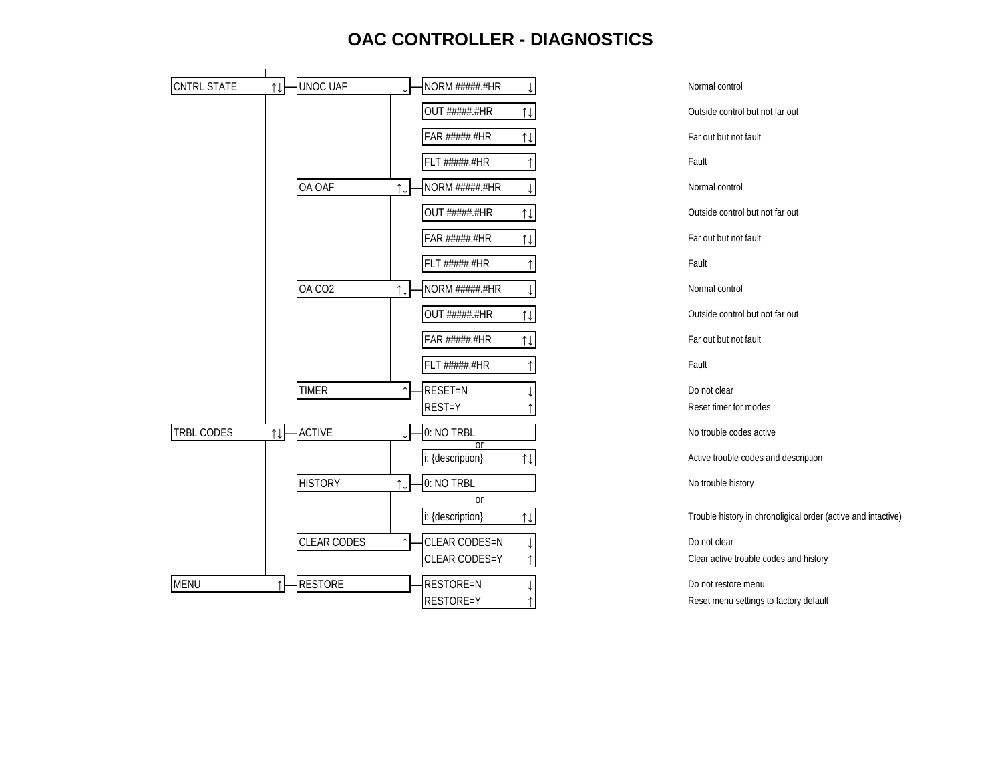#### **OAC CONTROLLER - DIAGNOSTICS**



i: {description} ↑↓ Trouble history in chronoligical order (active and intactive)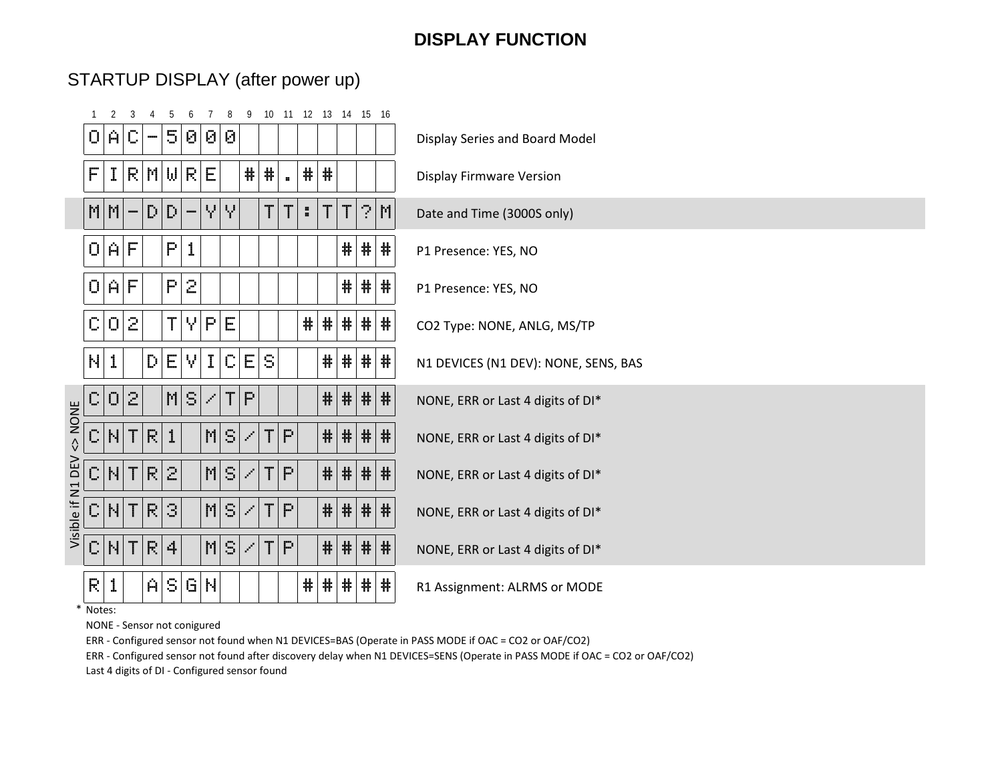# STARTUP DISPLAY (after power up)

|                   |                |                          |              |    |    |                  |    | 9                           |    |                        | 10 11 12 13 14 15 16 |   |         |    |    |                                      |
|-------------------|----------------|--------------------------|--------------|----|----|------------------|----|-----------------------------|----|------------------------|----------------------|---|---------|----|----|--------------------------------------|
| 0.                | A C            |                          | $\cdots$     | 5  | ଡା | $\Theta \Theta $ |    |                             |    |                        |                      |   |         |    |    | Display Series and Board Model       |
| F                 | I              |                          | RMW          |    | R. | Е                |    | #                           | #  | $\mathbf{a}^{\dagger}$ | #                    | # |         |    |    | <b>Display Firmware Version</b>      |
| MM                |                | $\overline{\phantom{a}}$ | $\mathbb{D}$ | Đ. |    | Υ.               | Υ  |                             | Τ  | T                      | ÷,                   | T | T.      |    | ?M | Date and Time (3000S only)           |
| O[A]F             |                |                          |              | Ρ  | 1  |                  |    |                             |    |                        |                      |   | ₩.      | 带  | #  | P1 Presence: YES, NO                 |
| 01                | A.             | F                        |              | P  | 2  |                  |    |                             |    |                        |                      |   | ₩.      | ₩. | 帯  | P1 Presence: YES, NO                 |
| C.                | 0.             | $\bar{z}$                |              | Τ  | γ  | P                | Е  |                             |    |                        | #                    | # | # #     |    | #  | CO2 Type: NONE, ANLG, MS/TP          |
| N                 | 1              |                          | D.           | Е  | ٧  | I                | С  | Е                           | S  |                        |                      | # | #       | 帯  | #  | N1 DEVICES (N1 DEV): NONE, SENS, BAS |
| C,                | $\overline{O}$ | $\mathcal{Z}$            |              | M  | S. | Z                | Τ  | P                           |    |                        |                      | # | #  #  # |    |    | NONE, ERR or Last 4 digits of DI*    |
| <> NON<<br>C.     | N              |                          | T R          | 1  |    | M.               | S  | Z                           | TI | $\mathbb{P}$           |                      | # | # # #   |    |    | NONE, ERR or Last 4 digits of DI*    |
| C.                | N              | Τ                        | R.           | 2  |    | M.               | S  | $\mathcal{L}_{\mathcal{I}}$ | T. | P                      |                      | # | $#$ #   |    | #  | NONE, ERR or Last 4 digits of DI*    |
| Visible if N1 DEV | C  N           | Τ                        | P            | 3  |    | M.               | S. | Z                           | T  | P.                     |                      | # | $#$  #  |    | 莘  | NONE, ERR or Last 4 digits of DI*    |
| C N               |                | Τ                        | R            | 4  |    | M.               | S  | Z                           | T. | $\mathsf{P}$           |                      | # | $\#$    | #  | 莘  | NONE, ERR or Last 4 digits of DI*    |
| R.                | 1              |                          | A.           | S. | G. | N                |    |                             |    |                        | #                    | # | #       | ₩. | ₩. | R1 Assignment: ALRMS or MODE         |

\* Notes:

NONE - Sensor not conigured

ERR - Configured sensor not found when N1 DEVICES=BAS (Operate in PASS MODE if OAC = CO2 or OAF/CO2)

ERR - Configured sensor not found after discovery delay when N1 DEVICES=SENS (Operate in PASS MODE if OAC = CO2 or OAF/CO2) Last 4 digits of DI - Configured sensor found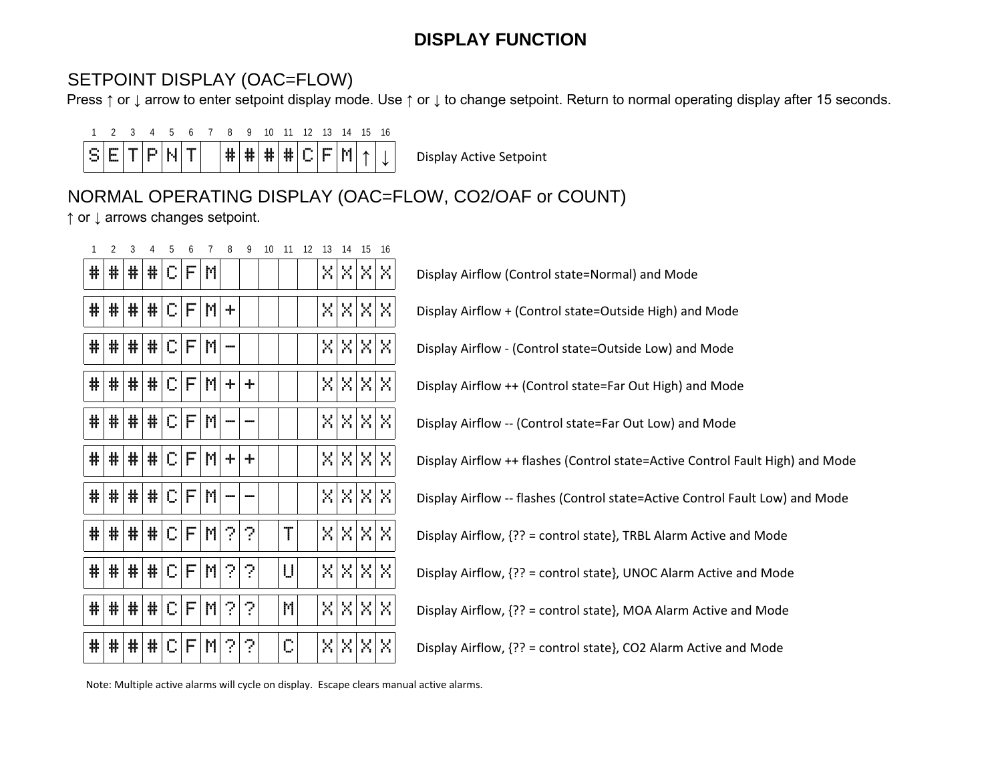## SETPOINT DISPLAY (OAC=FLOW)

Press ↑ or ↓ arrow to enter setpoint display mode. Use ↑ or ↓ to change setpoint. Return to normal operating display after 15 seconds.



# NORMAL OPERATING DISPLAY (OAC=FLOW, CO2/OAF or COUNT)

↑ or ↓ arrows changes setpoint.

| #  | 帯  | #. | #1 | IC.  | FI | M.  |            |   |    |  |  | XIXIXIX  | Display Airflow (Control state=Normal) and Mode                               |
|----|----|----|----|------|----|-----|------------|---|----|--|--|----------|-------------------------------------------------------------------------------|
| #  | #  | #  |    | E  E |    |     | ÷          |   |    |  |  | XIXIXIXI | Display Airflow + (Control state=Outside High) and Mode                       |
| #  | #  | #  | #  | C.   |    | FM  | ---        |   |    |  |  | XIXIXIX  | Display Airflow - (Control state=Outside Low) and Mode                        |
| #  | #  | ₩. |    | E    |    |     | $+ $       | ÷ |    |  |  | XIXIXIX  | Display Airflow ++ (Control state=Far Out High) and Mode                      |
| 带  | #  | 带  | #  | IC.  | F  | M   |            |   |    |  |  | XIXIXIX  | Display Airflow -- (Control state=Far Out Low) and Mode                       |
| #  | ₩. | #  |    | E  E |    |     | ÷.         | ÷ |    |  |  | XIXIXIX  | Display Airflow ++ flashes (Control state=Active Control Fault High) and Mode |
| #  | #  | #  | #  | C.   |    | F M |            |   |    |  |  | XIXIXIX  | Display Airflow -- flashes (Control state=Active Control Fault Low) and Mode  |
| ₩. | ₩. | ₩. |    |      |    |     | E  E  M  2 | ? | Τ  |  |  | XIXIXIX  | Display Airflow, {?? = control state}, TRBL Alarm Active and Mode             |
| 带  | ₩. | 쀼  | #  | C.   | F. | MI  | 21         | 2 | U  |  |  | XIXIXIX  | Display Airflow, {?? = control state}, UNOC Alarm Active and Mode             |
| ₩. | ₩. | ₩. | #  | C.   | F  | M   | 21         | ? | M. |  |  | XXXXX    | Display Airflow, {?? = control state}, MOA Alarm Active and Mode              |
| ₩. | ₩. | 帯  | #  | C.   | F  | M.  | 2,         | 2 | С  |  |  | XIXIXIX  | Display Airflow, {?? = control state}, CO2 Alarm Active and Mode              |

Note: Multiple active alarms will cycle on display. Escape clears manual active alarms.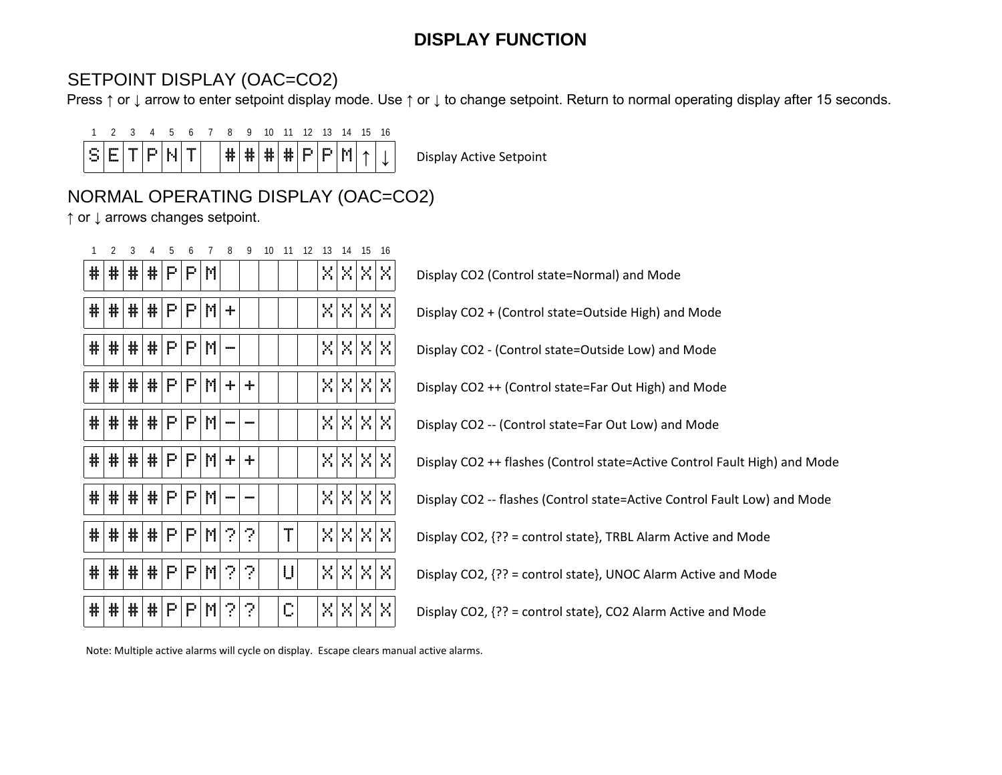### SETPOINT DISPLAY (OAC=CO2)

Press ↑ or ↓ arrow to enter setpoint display mode. Use ↑ or ↓ to change setpoint. Return to normal operating display after 15 seconds.



# NORMAL OPERATING DISPLAY (OAC=CO2)

↑ or ↓ arrows changes setpoint.

| #  | 쀾  | # | #P |             | P  | M. |          |   |   |  |  | XIXIXIXI | Display CO2 (Control state=Normal) and Mode                               |
|----|----|---|----|-------------|----|----|----------|---|---|--|--|----------|---------------------------------------------------------------------------|
| #  | 带  | 带 | #P |             | P. | M  | ÷        |   |   |  |  | XIXIXIXI | Display CO2 + (Control state=Outside High) and Mode                       |
| #  | #  | # | #P |             | P. | M  | $\sim$   |   |   |  |  | XIXIXIXI | Display CO2 - (Control state=Outside Low) and Mode                        |
| #  | 쀾  | # | #P |             | P. | M  | ÷        | ÷ |   |  |  | XIXIXIXI | Display CO2 ++ (Control state=Far Out High) and Mode                      |
| #  | ₩. | # |    | $\#$ $P$    | P. | M  |          |   |   |  |  | XIXIXIXI | Display CO2 -- (Control state=Far Out Low) and Mode                       |
| ₩. | 带  | # | #P |             | P. | MI | $+$      | ÷ |   |  |  | XIXIXIXI | Display CO2 ++ flashes (Control state=Active Control Fault High) and Mode |
| #  | 쀾  | 非 |    | P           | Р. | M  |          |   |   |  |  | XIXIXIXI | Display CO2 -- flashes (Control state=Active Control Fault Low) and Mode  |
| ₩. | 쀼  | # | #P |             | P. |    | $M$ ?    | ? | Τ |  |  | XIXIXIXI | Display CO2, {?? = control state}, TRBL Alarm Active and Mode             |
| ₩. | 带  | 带 |    | $\#$ $P$    | P. |    | $ M $ ?1 | ? | U |  |  | XIXIXIXI | Display CO2, {?? = control state}, UNOC Alarm Active and Mode             |
| ₩. | 쀾  | # | 非  | $\mathbb P$ | P. |    | M ?      | ? | С |  |  | XIXIXIXI | Display CO2, {?? = control state}, CO2 Alarm Active and Mode              |

Note: Multiple active alarms will cycle on display. Escape clears manual active alarms.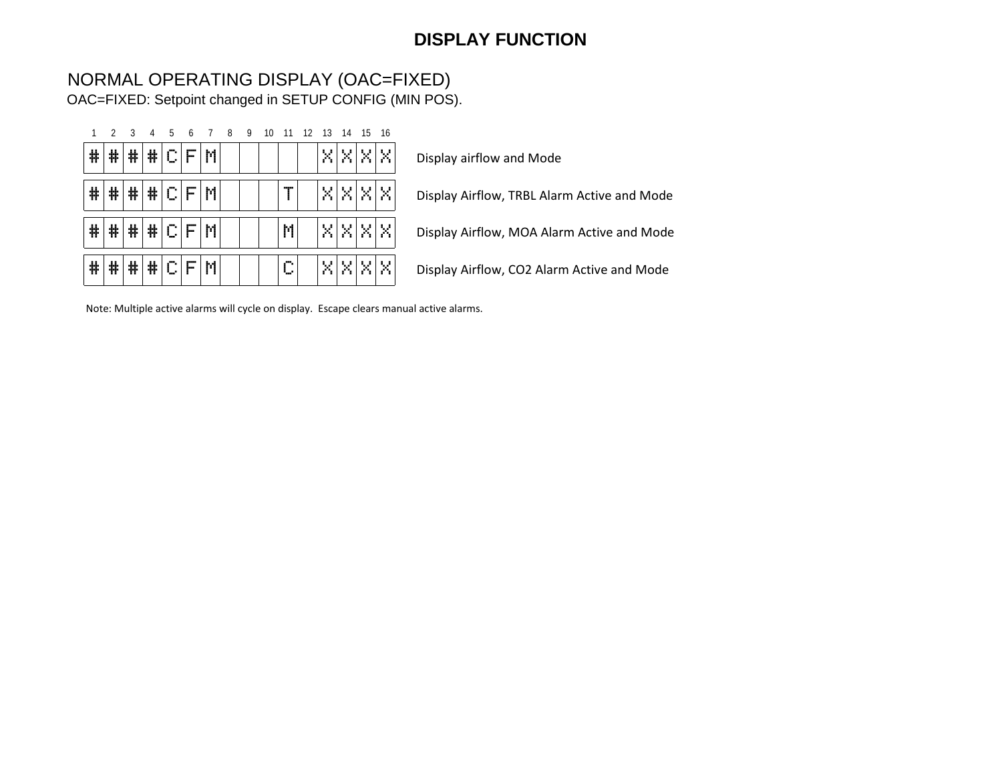#### NORMAL OPERATING DISPLAY (OAC=FIXED) OAC=FIXED: Setpoint changed in SETUP CONFIG (MIN POS).

| 1 | $\overline{2}$ | 3 | 4 | 5         | 6            | 7 | 8 | 9 | 10 | 11      | 12 | 13                       | 14      | 15      | 16 |
|---|----------------|---|---|-----------|--------------|---|---|---|----|---------|----|--------------------------|---------|---------|----|
| ₩ | ⋕              | # | ⋕ | <br>'en s | ----<br>im   | M |   |   |    |         |    | $\mathcal{S}_\mathrm{c}$ | Х       |         | X  |
| ⋕ | ⋕              | # | ⋕ |           | <br>im       | M |   |   |    |         |    | Χ                        | X       | Y.      | X  |
| ₩ | ⋕              | # | ⋕ | --<br>₩.  | <br>in ve    | M |   |   |    | M       |    | X                        | X       |         | X  |
| ⋕ | ⋕              | # | # | --<br>w.  | <br>---<br>I | M |   |   |    | --<br>w |    | 'n.                      | X<br>٠. | ٦<br>f. | x  |

Display airflow and Mode

Display Airflow, TRBL Alarm Active and Mode

Display Airflow, MOA Alarm Active and Mode

Display Airflow, CO2 Alarm Active and Mode

Note: Multiple active alarms will cycle on display. Escape clears manual active alarms.